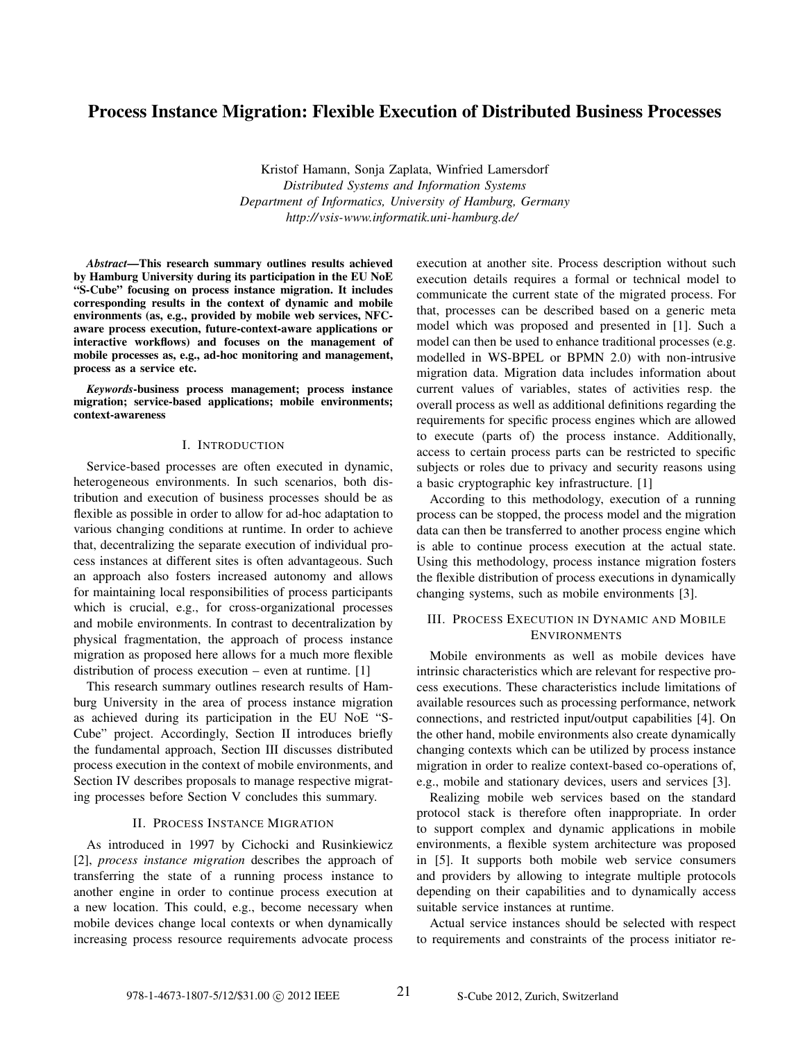# Process Instance Migration: Flexible Execution of Distributed Business Processes

Kristof Hamann, Sonja Zaplata, Winfried Lamersdorf *Distributed Systems and Information Systems Department of Informatics, University of Hamburg, Germany http://vsis-www.informatik.uni-hamburg.de/*

*Abstract*—This research summary outlines results achieved by Hamburg University during its participation in the EU NoE "S-Cube" focusing on process instance migration. It includes corresponding results in the context of dynamic and mobile environments (as, e.g., provided by mobile web services, NFCaware process execution, future-context-aware applications or interactive workflows) and focuses on the management of mobile processes as, e.g., ad-hoc monitoring and management, process as a service etc.

*Keywords*-business process management; process instance migration; service-based applications; mobile environments; context-awareness

## I. INTRODUCTION

Service-based processes are often executed in dynamic, heterogeneous environments. In such scenarios, both distribution and execution of business processes should be as flexible as possible in order to allow for ad-hoc adaptation to various changing conditions at runtime. In order to achieve that, decentralizing the separate execution of individual process instances at different sites is often advantageous. Such an approach also fosters increased autonomy and allows for maintaining local responsibilities of process participants which is crucial, e.g., for cross-organizational processes and mobile environments. In contrast to decentralization by physical fragmentation, the approach of process instance migration as proposed here allows for a much more flexible distribution of process execution – even at runtime. [1]

This research summary outlines research results of Hamburg University in the area of process instance migration as achieved during its participation in the EU NoE "S-Cube" project. Accordingly, Section II introduces briefly the fundamental approach, Section III discusses distributed process execution in the context of mobile environments, and Section IV describes proposals to manage respective migrating processes before Section V concludes this summary.

# II. PROCESS INSTANCE MIGRATION

As introduced in 1997 by Cichocki and Rusinkiewicz [2], *process instance migration* describes the approach of transferring the state of a running process instance to another engine in order to continue process execution at a new location. This could, e.g., become necessary when mobile devices change local contexts or when dynamically increasing process resource requirements advocate process execution at another site. Process description without such execution details requires a formal or technical model to communicate the current state of the migrated process. For that, processes can be described based on a generic meta model which was proposed and presented in [1]. Such a model can then be used to enhance traditional processes (e.g. modelled in WS-BPEL or BPMN 2.0) with non-intrusive migration data. Migration data includes information about current values of variables, states of activities resp. the overall process as well as additional definitions regarding the requirements for specific process engines which are allowed to execute (parts of) the process instance. Additionally, access to certain process parts can be restricted to specific subjects or roles due to privacy and security reasons using a basic cryptographic key infrastructure. [1]

According to this methodology, execution of a running process can be stopped, the process model and the migration data can then be transferred to another process engine which is able to continue process execution at the actual state. Using this methodology, process instance migration fosters the flexible distribution of process executions in dynamically changing systems, such as mobile environments [3].

## III. PROCESS EXECUTION IN DYNAMIC AND MOBILE **ENVIRONMENTS**

Mobile environments as well as mobile devices have intrinsic characteristics which are relevant for respective process executions. These characteristics include limitations of available resources such as processing performance, network connections, and restricted input/output capabilities [4]. On the other hand, mobile environments also create dynamically changing contexts which can be utilized by process instance migration in order to realize context-based co-operations of, e.g., mobile and stationary devices, users and services [3].

Realizing mobile web services based on the standard protocol stack is therefore often inappropriate. In order to support complex and dynamic applications in mobile environments, a flexible system architecture was proposed in [5]. It supports both mobile web service consumers and providers by allowing to integrate multiple protocols depending on their capabilities and to dynamically access suitable service instances at runtime.

Actual service instances should be selected with respect to requirements and constraints of the process initiator re-